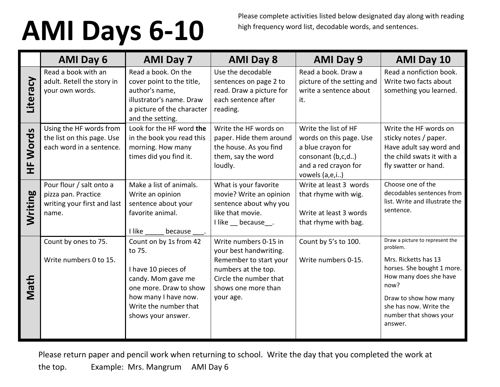## **AMI Days 6-10**

Please complete activities listed below designated day along with reading high frequency word list, decodable words, and sentences.

|            | <b>AMI Day 6</b>                                                                        | <b>AMI Day 7</b>                                                                                                                                                               | <b>AMI Day 8</b>                                                                                                                                               | <b>AMI Day 9</b>                                                                                                                    | <b>AMI Day 10</b>                                                                                                                                                                                                           |
|------------|-----------------------------------------------------------------------------------------|--------------------------------------------------------------------------------------------------------------------------------------------------------------------------------|----------------------------------------------------------------------------------------------------------------------------------------------------------------|-------------------------------------------------------------------------------------------------------------------------------------|-----------------------------------------------------------------------------------------------------------------------------------------------------------------------------------------------------------------------------|
| Literacy   | Read a book with an<br>adult. Retell the story in<br>your own words.                    | Read a book. On the<br>cover point to the title,<br>author's name,<br>illustrator's name. Draw<br>a picture of the character<br>and the setting.                               | Use the decodable<br>sentences on page 2 to<br>read. Draw a picture for<br>each sentence after<br>reading.                                                     | Read a book. Draw a<br>picture of the setting and<br>write a sentence about<br>it.                                                  | Read a nonfiction book.<br>Write two facts about<br>something you learned.                                                                                                                                                  |
| Words<br>눈 | Using the HF words from<br>the list on this page. Use<br>each word in a sentence.       | Look for the HF word the<br>in the book you read this<br>morning. How many<br>times did you find it.                                                                           | Write the HF words on<br>paper. Hide them around<br>the house. As you find<br>them, say the word<br>loudly.                                                    | Write the list of HF<br>words on this page. Use<br>a blue crayon for<br>consonant (b,c,d)<br>and a red crayon for<br>vowels (a,e,i) | Write the HF words on<br>sticky notes / paper.<br>Have adult say word and<br>the child swats it with a<br>fly swatter or hand.                                                                                              |
| Writing    | Pour flour / salt onto a<br>pizza pan. Practice<br>writing your first and last<br>name. | Make a list of animals.<br>Write an opinion<br>sentence about your<br>favorite animal.<br>I like<br>because                                                                    | What is your favorite<br>movie? Write an opinion<br>sentence about why you<br>like that movie.<br>I like because.                                              | Write at least 3 words<br>that rhyme with wig.<br>Write at least 3 words<br>that rhyme with bag.                                    | Choose one of the<br>decodables sentences from<br>list. Write and illustrate the<br>sentence.                                                                                                                               |
| Math       | Count by ones to 75.<br>Write numbers 0 to 15.                                          | Count on by 1s from 42<br>to 75.<br>I have 10 pieces of<br>candy. Mom gave me<br>one more. Draw to show<br>how many I have now.<br>Write the number that<br>shows your answer. | Write numbers 0-15 in<br>your best handwriting.<br>Remember to start your<br>numbers at the top.<br>Circle the number that<br>shows one more than<br>your age. | Count by 5's to 100.<br>Write numbers 0-15.                                                                                         | Draw a picture to represent the<br>problem.<br>Mrs. Ricketts has 13<br>horses. She bought 1 more.<br>How many does she have<br>now?<br>Draw to show how many<br>she has now. Write the<br>number that shows your<br>answer. |

Please return paper and pencil work when returning to school. Write the day that you completed the work at